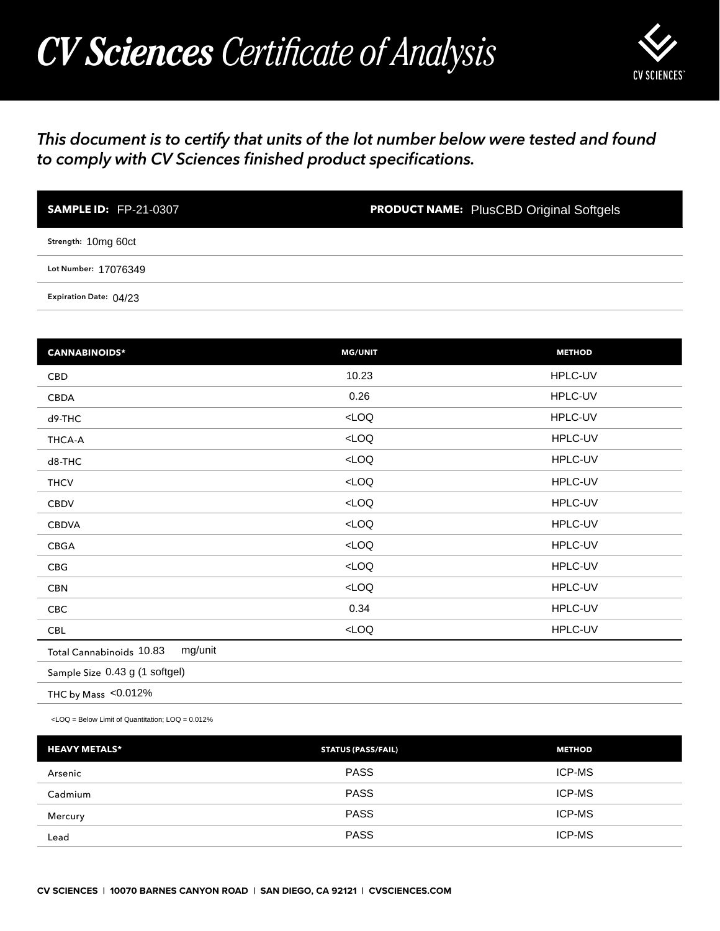## *CV Sciences Certificate of Analysis*



## *This document is to certify that units of the lot number below were tested and found to comply with CV Sciences finished product specifications.*

| <b>SAMPLE ID: FP-21-0307</b> | <b>PRODUCT NAME:</b> PlusCBD Original Softgels |
|------------------------------|------------------------------------------------|
| Strength: 10mg 60ct          |                                                |
| Lot Number: 17076349         |                                                |
| Expiration Date: 04/23       |                                                |

| <b>SAMPLE ID: FP-21-0307</b>                                                                    | <b>PRODUCT NAME: PlusCBD Original Softgels</b> |               |
|-------------------------------------------------------------------------------------------------|------------------------------------------------|---------------|
| Strength: 10mg 60ct                                                                             |                                                |               |
| Lot Number: 17076349                                                                            |                                                |               |
| Expiration Date: 04/23                                                                          |                                                |               |
|                                                                                                 |                                                |               |
| <b>CANNABINOIDS*</b>                                                                            | <b>MG/UNIT</b>                                 | <b>METHOD</b> |
| CBD                                                                                             | 10.23                                          | HPLC-UV       |
| CBDA                                                                                            | 0.26                                           | HPLC-UV       |
| d9-THC                                                                                          | LOO                                            | HPLC-UV       |
| THCA-A                                                                                          | $<$ LOQ                                        | HPLC-UV       |
| d8-THC                                                                                          | $<$ LOQ                                        | HPLC-UV       |
| <b>THCV</b>                                                                                     | $<$ LOQ                                        | HPLC-UV       |
| CBDV                                                                                            | LOO                                            | HPLC-UV       |
| <b>CBDVA</b>                                                                                    | $<$ LOQ                                        | HPLC-UV       |
| CBGA                                                                                            | LOO                                            | HPLC-UV       |
| CBG                                                                                             | $<$ LOQ                                        | HPLC-UV       |
| <b>CBN</b>                                                                                      | LOO                                            | HPLC-UV       |
| CBC                                                                                             | 0.34                                           | HPLC-UV       |
| <b>CBL</b>                                                                                      | $<$ LOQ                                        | HPLC-UV       |
| mg/unit<br>Total Cannabinoids 10.83                                                             |                                                |               |
| Sample Size 0.43 g (1 softgel)                                                                  |                                                |               |
| THC by Mass <0.012%                                                                             |                                                |               |
| <loq =="" below="" limit="" loq="0.012%&lt;/td" of="" quantitation;=""><td></td><td></td></loq> |                                                |               |
| <b>HEAVY METALS*</b>                                                                            | <b>STATUS (PASS/FAIL)</b>                      | <b>METHOD</b> |
| Arsenic                                                                                         | <b>PASS</b>                                    | ICP-MS        |
| Cadmium                                                                                         | <b>PASS</b>                                    | ICP-MS        |
| Mercury                                                                                         | <b>PASS</b>                                    | ICP-MS        |
| Lead                                                                                            | <b>PASS</b>                                    | ICP-MS        |

| <b>HEAVY METALS*</b> | <b>STATUS (PASS/FAIL)</b> | <b>METHOD</b> |
|----------------------|---------------------------|---------------|
| Arsenic              | <b>PASS</b>               | <b>ICP-MS</b> |
| Cadmium              | <b>PASS</b>               | <b>ICP-MS</b> |
| Mercury              | <b>PASS</b>               | <b>ICP-MS</b> |
| Lead                 | <b>PASS</b>               | <b>ICP-MS</b> |